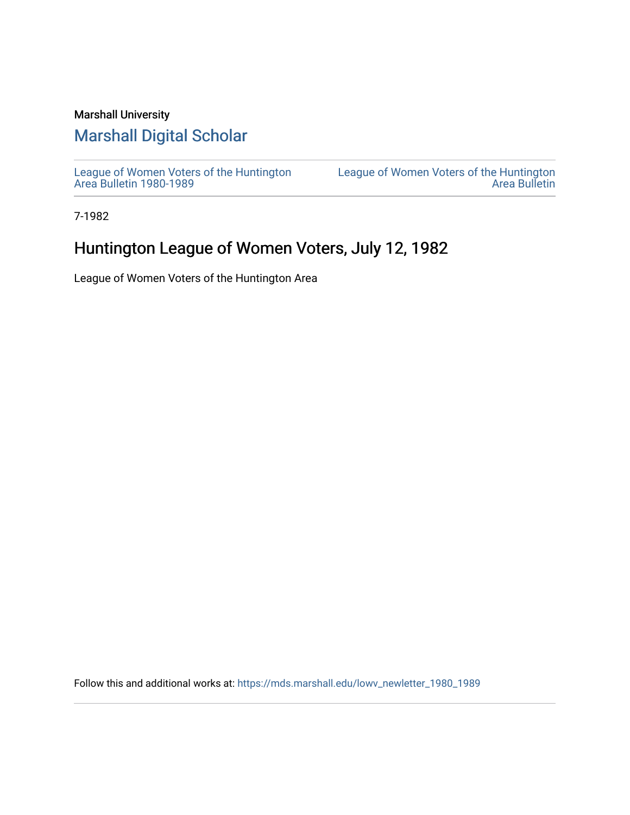## Marshall University

## [Marshall Digital Scholar](https://mds.marshall.edu/)

[League of Women Voters of the Huntington](https://mds.marshall.edu/lowv_newletter_1980_1989) [Area Bulletin 1980-1989](https://mds.marshall.edu/lowv_newletter_1980_1989) 

[League of Women Voters of the Huntington](https://mds.marshall.edu/lowv_newsletter)  [Area Bulletin](https://mds.marshall.edu/lowv_newsletter) 

7-1982

## Huntington League of Women Voters, July 12, 1982

League of Women Voters of the Huntington Area

Follow this and additional works at: [https://mds.marshall.edu/lowv\\_newletter\\_1980\\_1989](https://mds.marshall.edu/lowv_newletter_1980_1989?utm_source=mds.marshall.edu%2Flowv_newletter_1980_1989%2F21&utm_medium=PDF&utm_campaign=PDFCoverPages)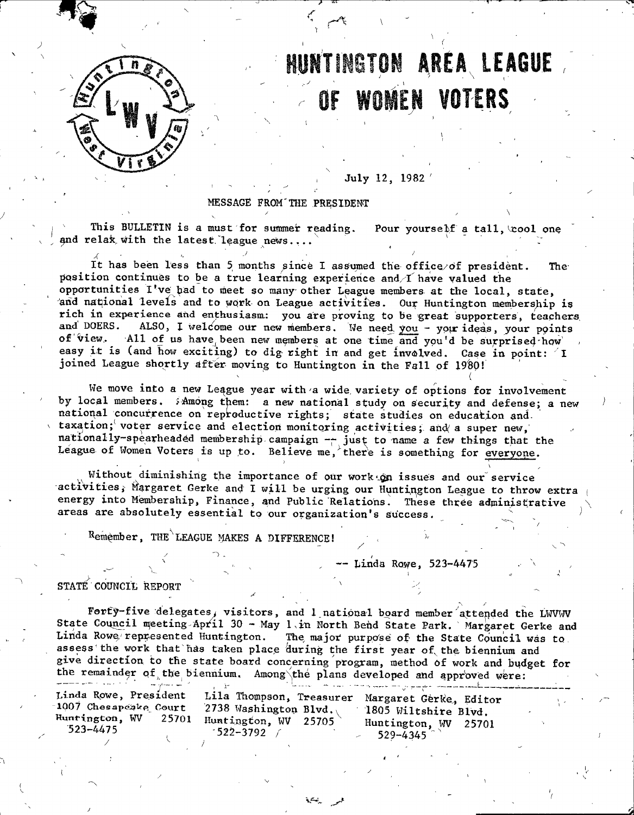

*K W*

# **HUNTINGTON AREA LEAGUE** OF WOMEN VOTERS

**. July 12, 1982 '**

**MESSAGE FROM'THE PRESIDENT / '** . **\**

This BULLETIN is a must for summer reading. Pour yourself a tall, cool one and relak with the latest league news....

It has been less than 5 months since I assumed the office/of president. The position continues to be a true learning experience and I have valued the opportunities I've had to meet so many other League members at the local, state, and national levels and to work on League activities. Our Huntington membership is **rich in experience and enthusiasm: you are proving to be great supporters, teachers** ALSO, I welcome our new members. We need you - your ideas, your points of view. All of us have been new members at one time and you'd be surprised how easy it is (and how exciting) to dig right in and get involved. Case in point: 'I joined League shortly after moving to Huntington in the Fall of 1980!

We move into a new League year with a wide variety of options for involvement by local members. SAmong them: a new national study on security and defense; a new national concurrence on reproductive rights; state studies on education and. taxation; voter service and election monitoring activities; and a super new, **nationally-spearheaded membership campaign -- just to name a few things that the** League of Women Voters is up to. Believe me, there is something for everyone.

Without diminishing the importance of our work on issues and our service activities, Margaret Gerke and I will be urging our Huntington League to throw extra energy into Membership, Finance, and Public Relations. These three administrative areas are absolutely essential to our organization's success.

Remember, THE<sup>\</sup>LEAGUE MAKES A DIFFERENCE!

 $\lambda$ 

**^ Linda Ros^e, 523-4475 ^**

- *''*

*(*

STATE COUNCIL REPORT

Forty-five delegates, visitors, and 1 national board member attended the LWVWV State Council meeting April 30 - May 1 in North Bend State Park. Margaret Gerke and Linda Rowe represented Huntington. The major purpose of the State Council was to assess the work that has taken place during the first year of the biennium and give direction to the state board concerning program, method of work and budget for the remainder of the biennium. Among\the plans developed and approved were:

| المتألف والرازي المتعجب فاستفقفها |                              | The second compared with a proportion of the compared with a second compared with the second second second second second second second second second second second second second second second second second second second sec |
|-----------------------------------|------------------------------|--------------------------------------------------------------------------------------------------------------------------------------------------------------------------------------------------------------------------------|
| Linda Rowe, President             | Lila Thompson, Treasurer     | Margaret Gerke, Editor                                                                                                                                                                                                         |
| 1007 Chesapcake Court             | 2738 Washington Blvd.        | 1805 Wiltshire Blyd.                                                                                                                                                                                                           |
| Huntington, WV                    | $25701$ Huntington, WV 25705 | Huntington, WV 25701                                                                                                                                                                                                           |
| $-523 - 4475$                     | $-522 - 3792$                | 529-4345                                                                                                                                                                                                                       |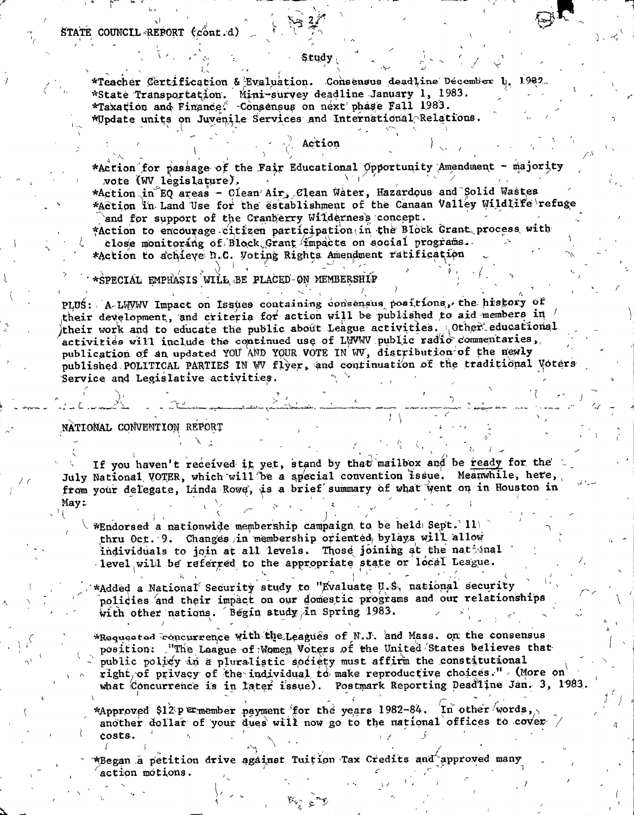STATE COUNCIL REPORT (cont.d)

\*Teacher Certification & Evaluation. Consensus deadline Décember 1. 1982. \*State Transportation. Mini-survey deadline January 1, 1983. \*Taxation and Finance. Consensus on next phase Fall 1983. \*Update units on Juvenile Services and International Relations.

#### Action

\*Action for passage of the Fair Educational Opportunity Amendment - majority vote (WV legislature).

\*Action in EQ areas - Clean Air, Clean Water, Hazardous and Solid Wastes \*Action in Land Use for the establishment of the Canaan Valley Wildlife refuge and for support of the Cranberry Wilderness concept.

\*Action to encourage citizen participation in the Block Grant process with close monitoring of Block Grant impacts on social programs. \*Action to achieve N.C. Voting Rights Amendment ratification

#### \*SPECIAL EMPHASIS WILL BE PLACED-ON MEMBERSHIP

PLUS: A LWWW Impact on Issues containing consensus positions, the history of their development, and criteria for action will be published to aid members in  $\ell$ their work and to educate the public about League activities. Other educational activities wifl include the continued use of LWWW public radio commentaries, publication of an updated YOU AND YOUR VOTE IN WV, distribution of the newly published POLITICAL PARTIES IN WV flyer, and continuation of the traditional Voters Service and Legislative activities.

#### NATIONAL CONVENTION REPORT

If you haven't received it, yet, stand by that mailbox and be ready for the July National VOTER, which will be a special convention issue. Meanwhile, here, from your delegate, Linda Rowe, is a brief summary of what went on in Houston in May:

\*Endorsed a nationwide membership campaign to be held Sept. 11 thru Oct. 9. Changes in membership oriented bylays will allow individuals to join at all levels. Those joining at the national level will be referred to the appropriate state or local League.

\*Added a National Security study to "Evaluate U.S. national security policies and their impact on our domestic programs and our relationship with other nations. Begin study in Spring 1983.

\*Requested concurrence with the Leagues of N.J. and Mass. on the consensus position: "The Laague of Women Voters of the United States believes that public policy in a pluralistic society must affirm the constitutional right of privacy of the individual  $t\alpha$  make reproductive choices." (More on what Concurrence is in later issue). Postmark Reporting Deadline Jan. 3, 1983.

\*Approved \$12p ermember payment for the years 1982-84. In other words, another dollar of your dues will now go to the national offices to cover / costs.

\*Began a petition drive against Tuition Tax Credits and approved many action motions.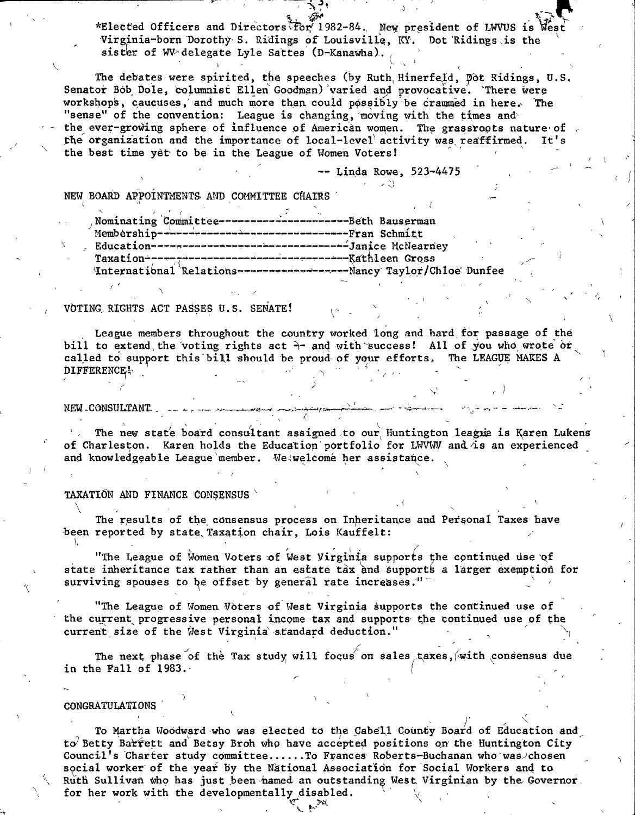\*Elected Officers and Directors for 1982-84. New president of LWVUS is West Virginia-born Dorothy S. Ridings of Louisville, KY. Dot Ridings is the sister of WV delegate Lyle Sattes (D-Kanawha).

The debates were spirited, the speeches (by Ruth Hinerfeld, Dot Ridings, U.S. Senator Bob Dole, columnist Ellen Goodman) varied and provocative. There were workshops, caucuses, and much more than could possibly be crammed in here. The "sense" of the convention: League is changing, moving with the times and the ever-growing sphere of influence of American women. The grassroots nature of the organization and the importance of local-level activity was reaffirmed.  $It's$ the best time yet to be in the League of Women Voters!

 $--$  Linda Rowe,  $523-4475$ 

NEW BOARD APPOINTMENTS AND COMMITTEE CHAIRS

| Nominating Committee--------------------------Beth Bauserman |  |  |
|--------------------------------------------------------------|--|--|
| Membership---------------------------------Fran Schmitt      |  |  |
|                                                              |  |  |
|                                                              |  |  |
|                                                              |  |  |
|                                                              |  |  |

#### VOTING RIGHTS ACT PASSES U.S. SENATE!

League members throughout the country worked long and hard for passage of the bill to extend the voting rights act  $\lambda$  and with success! All of you who wrote or called to support this bill should be proud of your efforts. The LEAGUE MAKES A DIFFERENCE!

#### **NEW CONSULTANT**

The new state board consultant assigned to our Huntington league is Karen Lukens of Charleston. Karen holds the Education portfolio for LWVWV and is an experienced and knowledgeable League member. We welcome her assistance.

#### TAXATION AND FINANCE CONSENSUS

The results of the consensus process on Inheritance and Personal Taxes have been reported by state Taxation chair, Lois Kauffelt:

"The League of Women Voters of West Virginia supports the continued use of state inheritance tax rather than an estate tax and supports a larger exemption for surviving spouses to be offset by general rate increases."

"The League of Women Voters of West Virginia supports the continued use of the current progressive personal income tax and supports the continued use of the current size of the West Virginia standard deduction."

The next phase of the Tax study will focus on sales taxes, with consensus due in the Fall of 1983.

#### CONGRATULATIONS

To Martha Woodward who was elected to the Cabell County Board of Education and to Betty Barrett and Betsy Broh who have accepted positions on the Huntington City Council's Charter study committee......To Frances Roberts-Buchanan who was chosen social worker of the year by the National Association for Social Workers and to Ruth Sullivan who has just been hamed an outstanding West Virginian by the Governor. for her work with the developmentally disabled.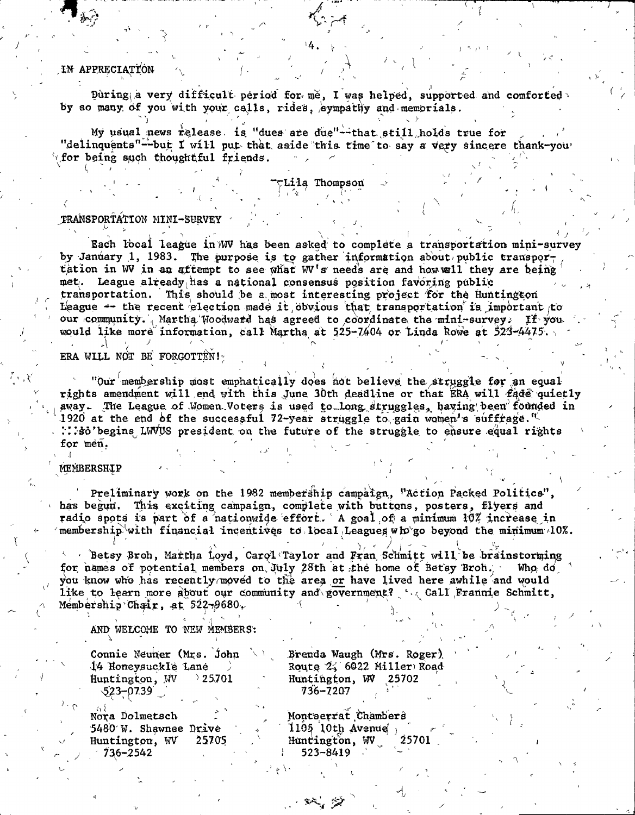### IN APPRECIATION

During a very difficult period for me, I was helped, supported and comforted by so many of you with your calls, rides, eympathy and memorials.

My usual news release, is "dues are due"--that still holds true for "delinquents"--but I will put that aside this time to say a very sincere thank-you for being such thoughtful friends.

**Lila Thompson** 

#### TRANSPORTATION MINI-SURVEY

Each local league in WV has been asked to complete a transportation mini-survey by January 1, 1983. The purpose is to gather information about public transportation in WV in an attempt to see what WV's needs are and how wall they are being met. League already has a national consensus position favoring public transportation. This should be a most interesting project for the Huntington League -- the recent election made it obvious that transportation is important to our community. Martha Woodward has agreed to coordinate the mini-survey. If you would like more information, call Martha at 525-7404 or Linda Rowe at 523-4475.

ERA WILL NOT BE FORGOTTEN!

"Our membership most emphatically does not believe the struggle for an equal rights amendment will end with this June 30th deadline or that ERA will fade quietly away. The League of Women Voters is used to long struggles, having been founded in 1920 at the end of the successful 72-year struggle to gain women's suffrage.<sup>1</sup> : : : so' begins LWVUS president on the future of the struggle to ensure equal rights for men.

#### MEMBERSHIP

Preliminary work on the 1982 membership campaign, "Action Packed Politics", has begun. This exciting campaign, complete with buttons, posters, flyers and radio spots is part of a nationwide effort. A goal of a minimum 10% increase in membership with financial incentives to local Leagues wh go beyond the minimum 10%.

 $\sim$  Betsy Broh, Martha Loyd, Carol Taylor and Fran Schmitt will be brainstorming for names of potential members on July 28th at the home of Betsy Broh. Who do you know who has recently moved to the area or have lived here awhile and would like to learn more about our community and government? ' all Frannie Schmitt, Membership Chair, at  $522\neg9680$ .

AND WELCOME TO NEW MEMBERS:

Connie Neuner (Mrs. John 14 Honeysuckle Lane Huntington, WV  $25701$  $523 - 0739$ 

Brenda Waugh (Mrs. Roger) Route 2, 6022 Miller Road Huntington, WV 25702 736–7207

Nora Dolmetsch 5480 W. Shawnee Drive Huntington, WV 25705  $736 - 2542$ 

Montserrat Chambers  $1105$  10th Avenue, Huntington, WV 25701 523-8419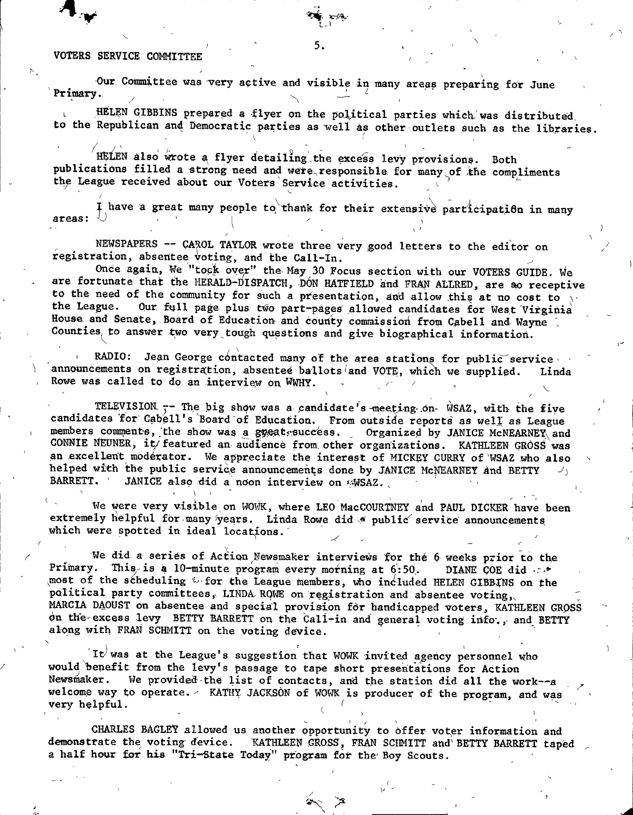#### VOTERS SERVICE COMMITT

**Primary.** Our Committee was very active and visible in many areas preparing for June

HELEN GIBBINS prepared a flyer on the political parties which was distributed, to the Republican and Democratic parties as well as other outlets such as the libraries.

**5.**

 $\mathcal{L}$  -  $\mathcal{V}$ 

HELEN also wrote a flyer detailing the excess levy provisions. Both publications filled a strong need and were responsible for many of the compliments the League received about our Voters Service activities.

I have a great many people to thank for their extensive parricipation in many **areas:**  $\cup$  **i**  $\cup$  **i**  $\cup$  **i**  $\cup$  **i**  $\cup$  **i**  $\cup$  **i**  $\cup$  **i**  $\cup$  **i**  $\cup$  **i**  $\cup$  **i**  $\cup$  **i**  $\cup$  **i**  $\cup$  **i**  $\cup$  **i**  $\cup$  **i**  $\cup$  **i**  $\cup$  **i**  $\cup$  **i**  $\cup$  **i**  $\cup$  **i**  $\cup$  **i**  $\cup$  **i**  $\cup$  **i**  $\cup$  **' . \ '**

NEWSPAPERS -- CAROL TAYLOR wrote three very good letters to the editor on registration, absentee voting, and the Call-In.

Once again, We "tock over" the May 30 Focus section with our VOTERS GUIDE. We are fortunate that the HERALD-DISPATCH, DON HATFIELD and FRAN ALLRED, are so receptive to the need of the community for such a presentation, and allow this at no cost to the League. Our full page plus two part-pages allowed candidates for West Virginia Our full page plus two part-pages allowed candidates for West Virginia House and Senate, Board of Education and county commission from Cabell and Wayne Counties, to answer two very tough questions and give biographical information.

RADIO: Jean George contacted many of the area stations for public service announcements on registration, absentee ballots<sup>/</sup>and VOTE, which we supplied. Linda Rowe was called to do an interview on WWHY.

TELEVISION<sub>.</sub> - The big show was a candidate's meeting on- WSAZ, with the five candidates for Cabell's Board of Education. From outside reports as well as League members comments, the show was a gyeatrsuccess. , Organized by JANICE McNEARNEY and CONNIE NEUNER, it/featured an audience from other organizations. KATHLEEN GROSS was an excellent moderator. We appreciate the interest of MICKEY CURRY of WSAZ who also helped with the public service announcements done by JANICE McWEARNEY and BETTY **BARRETT.** ' JANICE also did a noon interview on sWSAZ.

We were very visible on WOWK, where LEO MacCOURTNEY and PAUL DICKER have been extremely helpful for many years. Linda Rowe did a public service announcements which were spotted in ideal locations.

**■ \ 1 ' ' ' ' ^ ■**

**f**

We did a series of Action Newsmaker interviews for the 6 weeks prior to the Primary. This is a 10-minute program every morning at 6:50. DIANE COE did  $\cdots$ **.most o f the scheduling w for the League ftiembers, xdio included HELEN GIBBfNS on the** political party committees, LINDA ROWE on registration and absentee voting, MARCIA DAOUST on absentee and special provision for handicapped voters, KATHLEEN GROSS on the excess levy BETTY BARRETT on the Call-in and general voting info., and BETTY along with FRAN SCHMITT on the voting device.

 $\mathbf{I}$ t $\forall$  was at the League's suggestion that WOWK invited agency personnel who would benefit from the levy's passage to tape short presentations for Action<br>Newsmaker. We provided the list of contacts, and the station did all the wo We provided the list of contacts, and the station did all the work--a welcome way to operate.  $\angle$  KATHY JACKSON of WOWK is producer of the program, and was  $\triangle$   $\triangle$ **very helpful.**  $($   $)$   $($   $)$   $($   $)$   $($   $)$   $($   $)$   $($   $)$   $($   $)$   $($ 

CHARLES BAGLEY allowed us another opportunity to offer voter information and demonstrate the voting device. KATHLEEN GROSS, FRAN SCHMITT and BETTY BARRETT taped a half hour for his "Tri-State Today" program for the Boy Scouts.

V